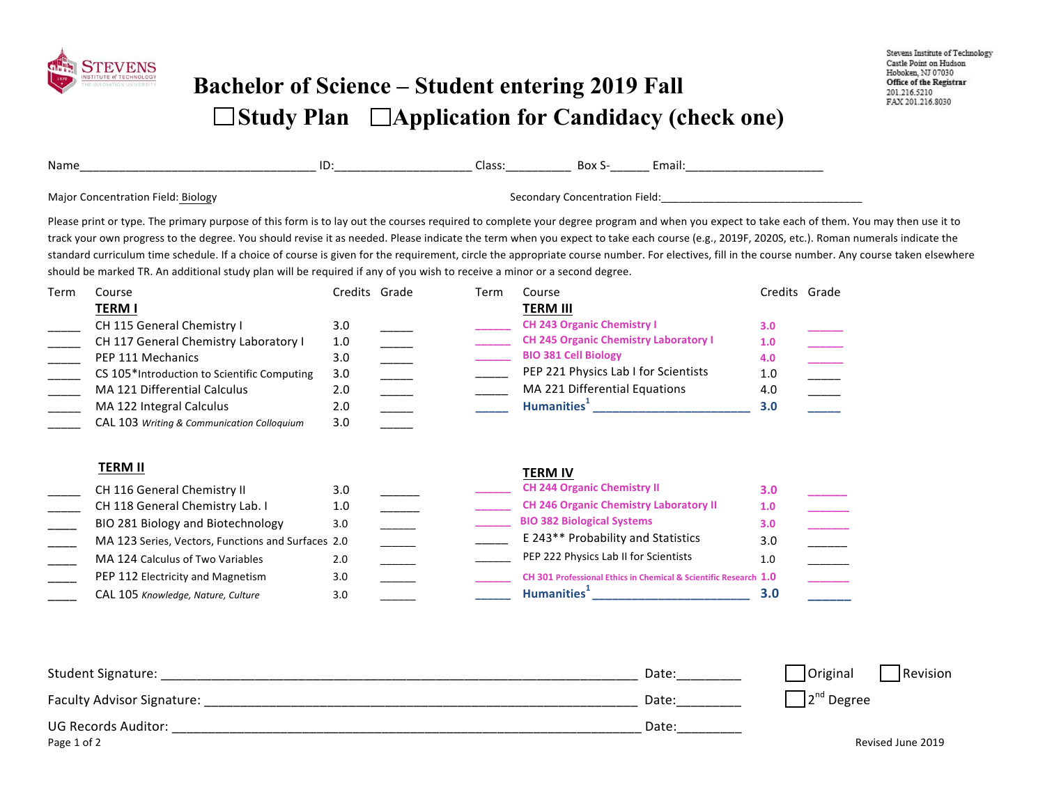

## **Bachelor of Science – Student entering 2019 Fall**  □ Study Plan □ Application for Candidacy (check one)

| Name                                                                                                                                                                                              | ID. | Class: | Box S-                         | Email: |  |
|---------------------------------------------------------------------------------------------------------------------------------------------------------------------------------------------------|-----|--------|--------------------------------|--------|--|
| <b>Major Concentration Field: Biology</b>                                                                                                                                                         |     |        | Secondary Concentration Field: |        |  |
| Please print or type. The primary purpose of this form is to lay out the courses required to complete your degree program and when you expect to take each of them. You may then use it to        |     |        |                                |        |  |
| track your own progress to the degree. You should revise it as needed. Please indicate the term when you expect to take each course (e.g., 2019F, 2020S, etc.). Roman numerals indicate the       |     |        |                                |        |  |
| standard curriculum time schedule. If a choice of course is given for the requirement, circle the appropriate course number. For electives, fill in the course number. Any course taken elsewhere |     |        |                                |        |  |
| should be marked TR. An additional study plan will be required if any of you wish to receive a minor or a second degree.                                                                          |     |        |                                |        |  |

| Term | Course                                      | Credits Grade | Term | Course                                       | Credits Grade |  |
|------|---------------------------------------------|---------------|------|----------------------------------------------|---------------|--|
|      | <b>TERM I</b>                               |               |      | <b>TERM III</b>                              |               |  |
|      | CH 115 General Chemistry I                  | 3.0           |      | <b>CH 243 Organic Chemistry I</b>            | 3.0           |  |
|      | CH 117 General Chemistry Laboratory I       | 1.0           |      | <b>CH 245 Organic Chemistry Laboratory I</b> | 1.0           |  |
|      | PEP 111 Mechanics                           | 3.0           |      | <b>BIO 381 Cell Biology</b>                  | 4.0           |  |
|      | CS 105*Introduction to Scientific Computing | 3.0           |      | PEP 221 Physics Lab I for Scientists         | 1.0           |  |
|      | MA 121 Differential Calculus                | 2.0           |      | MA 221 Differential Equations                | 4.0           |  |
|      | MA 122 Integral Calculus                    | 2.0           |      | <b>Humanities</b> <sup>1</sup>               | 3.0           |  |
|      | CAL 103 Writing & Communication Colloguium  | 3.0           |      |                                              |               |  |

| v | u<br>۷<br>., | w<br>. . | I | and the state of the state of the state of the state of the state of the state of the state of the state of th |
|---|--------------|----------|---|----------------------------------------------------------------------------------------------------------------|
|   |              |          |   |                                                                                                                |

#### **TERM II TERM II** CH 116 General Chemistry II 3.0 **2.0 2.0 2.0 2.0 2.0 2.0 2.0 2.0 2.0 2.0 2.0 2.0 2.0 2.0 2.0 2.0 2.0 2.0 2.0 2.0 2.0 2.0 2.0 2.0 2.0 2.0 2.0 2.0 2.0 2.0 2.0 2.0** CH 118 General Chemistry Lab. I 1.0 \_\_\_\_\_\_ CH 246 Organic Chemistry Laboratory II 1.0 BIO 281 Biology and Biotechnology 3.0 \_\_\_\_\_\_ **3.0** \_\_\_\_\_\_ BIO 382 Biological Systems 3.0 \_\_\_\_\_ MA 123 Series, Vectors, Functions and Surfaces 2.0 \_\_\_\_\_\_ \_\_\_\_\_\_ E 243\*\* Probability and Statistics 3.0 MA 124 Calculus of Two Variables 2.0 **CH 244 Organic Chemistry II CH 246 Organic Chemistry Laboratory II \_\_\_\_\_\_ BIO 382 Biological Systems**  E 243\*\* Probability and Statistics PEP 222 Physics Lab II for Scientists 1.0 \_\_\_\_ PEP 112 Electricity and Magnetism 3.0 \_\_\_\_\_\_ **\_\_\_\_\_\_\_ \_\_\_\_\_\_ CH 301 Professional Ethics in Chemical & Scientific Research 1.0**  CAL 105 *Knowledge, Nature, Culture* 3.0 \_\_\_\_\_\_ \_\_\_\_\_ **\_\_\_\_\_\_ Humanities**<sup>1</sup> \_\_\_\_\_\_\_\_\_\_\_\_\_\_\_\_\_\_\_\_\_\_\_\_\_\_\_\_ 3.0 **\_\_\_\_\_\_ Humanities<sup>1</sup> \_\_\_\_\_\_\_\_\_\_\_\_\_\_\_\_\_\_\_\_\_\_\_\_ 3.0**

| Student Signature:                | Date: | <b>Original</b><br>Revision |
|-----------------------------------|-------|-----------------------------|
| <b>Faculty Advisor Signature:</b> | Date: | $12nd$ Degree               |
| <b>UG Records Auditor:</b>        | Date: |                             |
| Page 1 of 2                       |       | Revised June 2019           |